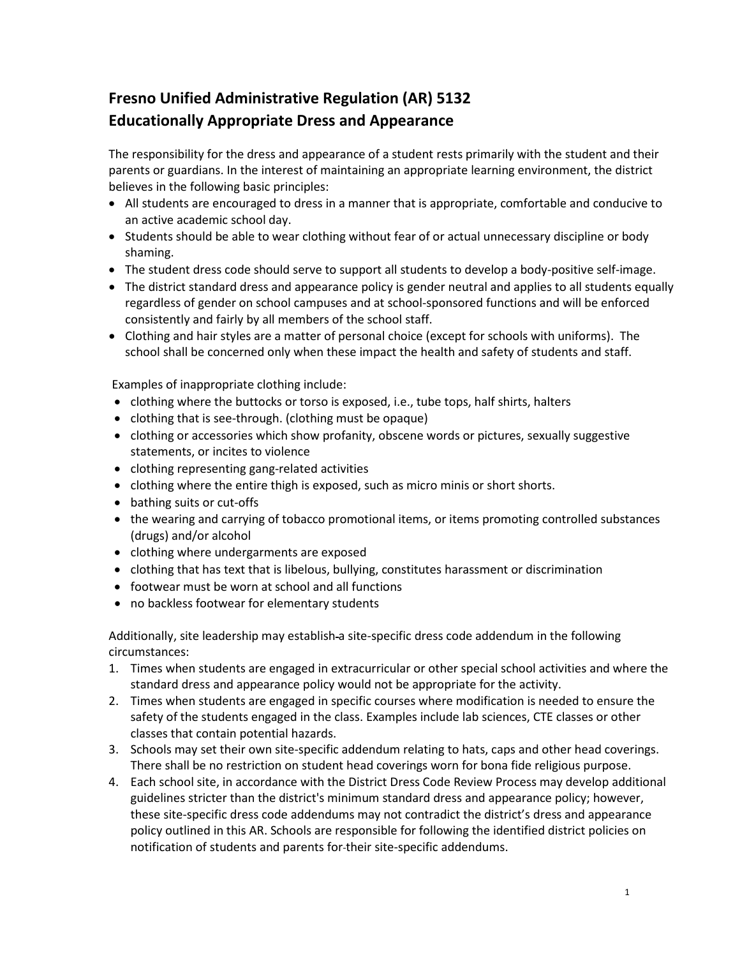# **Fresno Unified Administrative Regulation (AR) 5132 Educationally Appropriate Dress and Appearance**

The responsibility for the dress and appearance of a student rests primarily with the student and their parents or guardians. In the interest of maintaining an appropriate learning environment, the district believes in the following basic principles:

- All students are encouraged to dress in a manner that is appropriate, comfortable and conducive to an active academic school day.
- Students should be able to wear clothing without fear of or actual unnecessary discipline or body shaming.
- The student dress code should serve to support all students to develop a body-positive self-image.
- The district standard dress and appearance policy is gender neutral and applies to all students equally regardless of gender on school campuses and at school-sponsored functions and will be enforced consistently and fairly by all members of the school staff.
- Clothing and hair styles are a matter of personal choice (except for schools with uniforms). The school shall be concerned only when these impact the health and safety of students and staff.

Examples of inappropriate clothing include:

- clothing where the buttocks or torso is exposed, i.e., tube tops, half shirts, halters
- clothing that is see-through. (clothing must be opaque)
- clothing or accessories which show profanity, obscene words or pictures, sexually suggestive statements, or incites to violence
- clothing representing gang-related activities
- clothing where the entire thigh is exposed, such as micro minis or short shorts.
- bathing suits or cut-offs
- the wearing and carrying of tobacco promotional items, or items promoting controlled substances (drugs) and/or alcohol
- clothing where undergarments are exposed
- clothing that has text that is libelous, bullying, constitutes harassment or discrimination
- footwear must be worn at school and all functions
- no backless footwear for elementary students

Additionally, site leadership may establish-a site-specific dress code addendum in the following circumstances:

- 1. Times when students are engaged in extracurricular or other special school activities and where the standard dress and appearance policy would not be appropriate for the activity.
- 2. Times when students are engaged in specific courses where modification is needed to ensure the safety of the students engaged in the class. Examples include lab sciences, CTE classes or other classes that contain potential hazards.
- 3. Schools may set their own site-specific addendum relating to hats, caps and other head coverings. There shall be no restriction on student head coverings worn for bona fide religious purpose.
- 4. Each school site, in accordance with the District Dress Code Review Process may develop additional guidelines stricter than the district's minimum standard dress and appearance policy; however, these site-specific dress code addendums may not contradict the district's dress and appearance policy outlined in this AR. Schools are responsible for following the identified district policies on notification of students and parents for their site-specific addendums.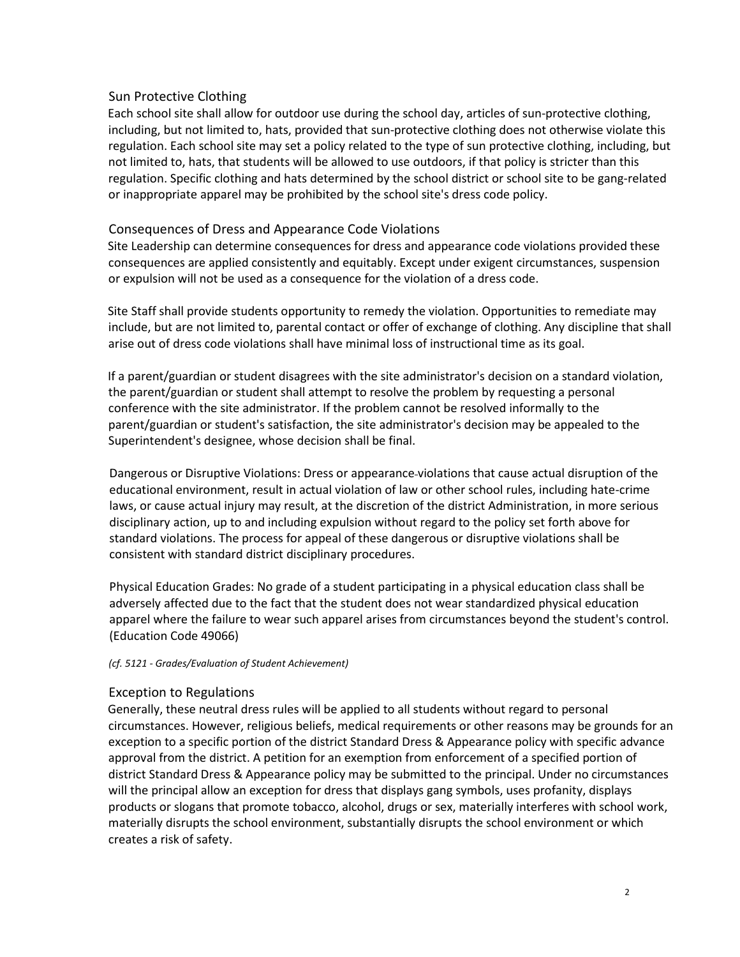## Sun Protective Clothing

Each school site shall allow for outdoor use during the school day, articles of sun-protective clothing, including, but not limited to, hats, provided that sun-protective clothing does not otherwise violate this regulation. Each school site may set a policy related to the type of sun protective clothing, including, but not limited to, hats, that students will be allowed to use outdoors, if that policy is stricter than this regulation. Specific clothing and hats determined by the school district or school site to be gang-related or inappropriate apparel may be prohibited by the school site's dress code policy.

## Consequences of Dress and Appearance Code Violations

Site Leadership can determine consequences for dress and appearance code violations provided these consequences are applied consistently and equitably. Except under exigent circumstances, suspension or expulsion will not be used as a consequence for the violation of a dress code.

Site Staff shall provide students opportunity to remedy the violation. Opportunities to remediate may include, but are not limited to, parental contact or offer of exchange of clothing. Any discipline that shall arise out of dress code violations shall have minimal loss of instructional time as its goal.

If a parent/guardian or student disagrees with the site administrator's decision on a standard violation, the parent/guardian or student shall attempt to resolve the problem by requesting a personal conference with the site administrator. If the problem cannot be resolved informally to the parent/guardian or student's satisfaction, the site administrator's decision may be appealed to the Superintendent's designee, whose decision shall be final.

Dangerous or Disruptive Violations: Dress or appearance violations that cause actual disruption of the educational environment, result in actual violation of law or other school rules, including hate-crime laws, or cause actual injury may result, at the discretion of the district Administration, in more serious disciplinary action, up to and including expulsion without regard to the policy set forth above for standard violations. The process for appeal of these dangerous or disruptive violations shall be consistent with standard district disciplinary procedures.

Physical Education Grades: No grade of a student participating in a physical education class shall be adversely affected due to the fact that the student does not wear standardized physical education apparel where the failure to wear such apparel arises from circumstances beyond the student's control. (Education Code 49066)

#### *(cf. 5121 - Grades/Evaluation of Student Achievement)*

## Exception to Regulations

Generally, these neutral dress rules will be applied to all students without regard to personal circumstances. However, religious beliefs, medical requirements or other reasons may be grounds for an exception to a specific portion of the district Standard Dress & Appearance policy with specific advance approval from the district. A petition for an exemption from enforcement of a specified portion of district Standard Dress & Appearance policy may be submitted to the principal. Under no circumstances will the principal allow an exception for dress that displays gang symbols, uses profanity, displays products or slogans that promote tobacco, alcohol, drugs or sex, materially interferes with school work, materially disrupts the school environment, substantially disrupts the school environment or which creates a risk of safety.